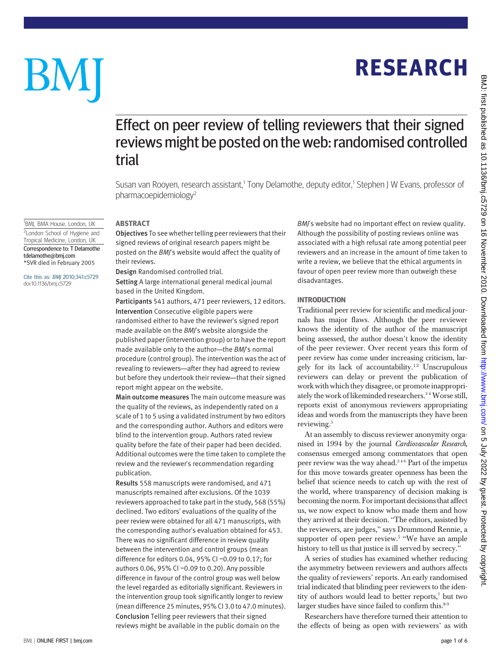# RESEARCH

# Effect on peer review of telling reviewers that their signed reviews might be posted on the web: randomised controlled trial

Susan van Rooyen, research assistant,<sup>1</sup> Tony Delamothe, deputy editor,<sup>1</sup> Stephen J W Evans, professor of pharmacoepidemiology2

#### ABSTRACT

Objectives To see whether telling peer reviewers that their signed reviews of original research papers might be posted on the BMJ's website would affect the quality of their reviews.

Design Randomised controlled trial.

Setting A large international general medical journal based in the United Kingdom.

Participants 541 authors, 471 peer reviewers, 12 editors. Intervention Consecutive eligible papers were randomised either to have the reviewer's signed report made available on the BMI's website alongside the published paper (intervention group) or to have the report made available only to the author—the BMJ's normal procedure (control group). The intervention was the act of revealing to reviewers—after they had agreed to review but before they undertook their review—that their signed report might appear on the website.

Main outcome measures The main outcome measure was the quality of the reviews, as independently rated on a scale of 1 to 5 using a validated instrument by two editors and the corresponding author. Authors and editors were blind to the intervention group. Authors rated review quality before the fate of their paper had been decided. Additional outcomes were the time taken to complete the review and the reviewer's recommendation regarding publication.

Results 558 manuscripts were randomised, and 471 manuscripts remained after exclusions. Of the 1039 reviewers approached to take part in the study, 568 (55%) declined. Two editors' evaluations of the quality of the peer review were obtained for all 471 manuscripts, with the corresponding author's evaluation obtained for 453. There was no significant difference in review quality between the intervention and control groups (mean difference for editors 0.04, 95% CI −0.09 to 0.17; for authors 0.06, 95% CI −0.09 to 0.20). Any possible difference in favour of the control group was well below the level regarded as editorially significant. Reviewers in the intervention group took significantly longer to review (mean difference 25 minutes, 95% CI 3.0 to 47.0 minutes). Conclusion Telling peer reviewers that their signed reviews might be available in the public domain on the

BMJ's website had no important effect on review quality. Although the possibility of posting reviews online was associated with a high refusal rate among potential peer reviewers and an increase in the amount of time taken to write a review, we believe that the ethical arguments in favour of open peer review more than outweigh these disadvantages.

#### INTRODUCTION

Traditional peer review for scientific and medical journals has major flaws. Although the peer reviewer knows the identity of the author of the manuscript being assessed, the author doesn't know the identity of the peer reviewer. Over recent years this form of peer review has come under increasing criticism, largely for its lack of accountability.<sup>12</sup> Unscrupulous reviewers can delay or prevent the publication of work with which they disagree, or promote inappropriately the work of likeminded researchers.<sup>34</sup> Worse still, reports exist of anonymous reviewers appropriating ideas and words from the manuscripts they have been reviewing.<sup>5</sup>

At an assembly to discuss reviewer anonymity organised in 1994 by the journal Cardiovascular Research, consensus emerged among commentators that open peer review was the way ahead.346 Part of the impetus for this move towards greater openness has been the belief that science needs to catch up with the rest of the world, where transparency of decision making is becoming the norm. For important decisions that affect us, we now expect to know who made them and how they arrived at their decision. "The editors, assisted by the reviewers, are judges," says Drummond Rennie, a supporter of open peer review.<sup>5</sup> "We have an ample history to tell us that justice is ill served by secrecy."

A series of studies has examined whether reducing the asymmetry between reviewers and authors affects the quality of reviewers' reports. An early randomised trial indicated that blinding peer reviewers to the identity of authors would lead to better reports,<sup>7</sup> but two larger studies have since failed to confirm this.<sup>89</sup>

Researchers have therefore turned their attention to the effects of being as open with reviewers' as with

#### BMJ | ONLINE FIRST | bmj.com page 1 of 6

BM

<sup>1</sup>BMJ, BMA House, London, UK

<sup>2</sup> London School of Hygiene and Tropical Medicine, London, UK Correspondence to: T Delamothe tdelamothe@bmj.com \*SVR died in February 2005

#### Cite this as: BMJ 2010;341:c5729 doi:10.1136/bmj.c5729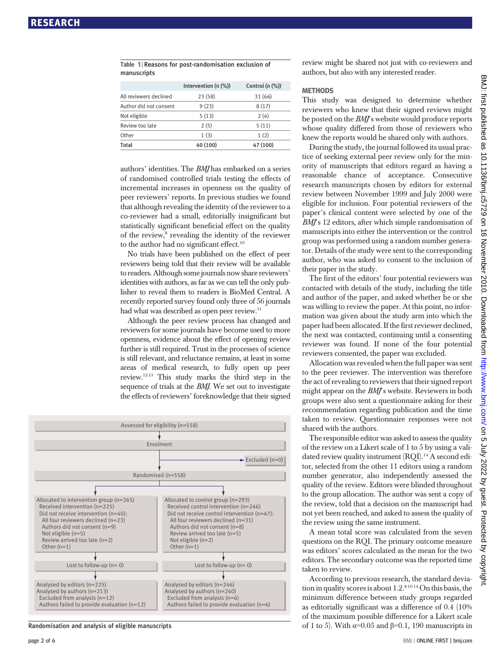| manuscripts            |                      |                     |  |  |  |  |
|------------------------|----------------------|---------------------|--|--|--|--|
|                        | Intervention (n (%)) | Control $(n$ $(\%)$ |  |  |  |  |
| All reviewers declined | 23(58)               | 31 (66)             |  |  |  |  |
| Author did not consent | 9(23)                | 8(17)               |  |  |  |  |
| Not eligible           | 5(13)                | 2(4)                |  |  |  |  |
| Review too late        | 2(5)                 | 5(11)               |  |  |  |  |
| Other                  | 1(3)                 | 1(2)                |  |  |  |  |
| <b>Total</b>           | 40 (100)             | 47 (100)            |  |  |  |  |

Table 1 | Reasons for post-randomisation exclusion of

authors' identities. The BMJ has embarked on a series of randomised controlled trials testing the effects of incremental increases in openness on the quality of peer reviewers' reports. In previous studies we found that although revealing the identity of the reviewer to a co-reviewer had a small, editorially insignificant but statistically significant beneficial effect on the quality of the review,<sup>8</sup> revealing the identity of the reviewer to the author had no significant effect.<sup>10</sup>

No trials have been published on the effect of peer reviewers being told that their review will be available to readers. Although some journals now share reviewers' identities with authors, as far as we can tell the only publisher to reveal them to readers is BioMed Central. A recently reported survey found only three of 56 journals had what was described as open peer review.<sup>11</sup>

Although the peer review process has changed and reviewers for some journals have become used to more openness, evidence about the effect of opening review further is still required. Trust in the processes of science is still relevant, and reluctance remains, at least in some areas of medical research, to fully open up peer review.12 13 This study marks the third step in the sequence of trials at the BMJ. We set out to investigate the effects of reviewers' foreknowledge that their signed



Randomisation and analysis of eligible manuscripts

review might be shared not just with co-reviewers and authors, but also with any interested reader.

#### **METHODS**

This study was designed to determine whether reviewers who knew that their signed reviews might be posted on the *BMI*'s website would produce reports whose quality differed from those of reviewers who knew the reports would be shared only with authors.

During the study, the journal followed its usual practice of seeking external peer review only for the minority of manuscripts that editors regard as having a reasonable chance of acceptance. Consecutive research manuscripts chosen by editors for external review between November 1999 and July 2000 were eligible for inclusion. Four potential reviewers of the paper's clinical content were selected by one of the BMJ's 12 editors, after which simple randomisation of manuscripts into either the intervention or the control group was performed using a random number generator. Details of the study were sent to the corresponding author, who was asked to consent to the inclusion of their paper in the study.

The first of the editors' four potential reviewers was contacted with details of the study, including the title and author of the paper, and asked whether he or she was willing to review the paper. At this point, no information was given about the study arm into which the paper had been allocated. If the first reviewer declined, the next was contacted, continuing until a consenting reviewer was found. If none of the four potential reviewers consented, the paper was excluded.

Allocation was revealed when the full paper was sent to the peer reviewer. The intervention was therefore the act of revealing to reviewers that their signed report might appear on the BMJ's website. Reviewers in both groups were also sent a questionnaire asking for their recommendation regarding publication and the time taken to review. Questionnaire responses were not shared with the authors.

The responsible editor was asked to assess the quality of the review on a Likert scale of 1 to 5 by using a validated review quality instrument (ROI).<sup>14</sup> A second editor, selected from the other 11 editors using a random number generator, also independently assessed the quality of the review. Editors were blinded throughout to the group allocation. The author was sent a copy of the review, told that a decision on the manuscript had not yet been reached, and asked to assess the quality of the review using the same instrument.

A mean total score was calculated from the seven questions on the RQI. The primary outcome measure was editors' scores calculated as the mean for the two editors. The secondary outcome was the reported time taken to review.

According to previous research, the standard deviation in quality scores is about  $1.2$ .<sup>8 10 14</sup> On this basis, the minimum difference between study groups regarded as editorially significant was a difference of 0.4 (10% of the maximum possible difference for a Likert scale of 1 to 5). With  $\alpha$ =0.05 and  $\beta$ =0.1, 190 manuscripts in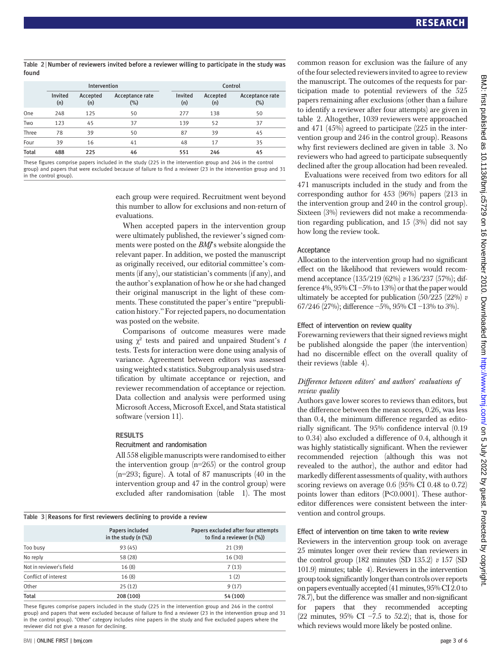Table 2 | Number of reviewers invited before a reviewer willing to participate in the study was found

|              | Intervention   |                 |                           |                | Control         |                        |  |
|--------------|----------------|-----------------|---------------------------|----------------|-----------------|------------------------|--|
|              | Invited<br>(n) | Accepted<br>(n) | Acceptance rate<br>$(\%)$ | Invited<br>(n) | Accepted<br>(n) | Acceptance rate<br>(%) |  |
| One          | 248            | 125             | 50                        | 277            | 138             | 50                     |  |
| Two          | 123            | 45              | 37                        | 139            | 52              | 37                     |  |
| Three        | 78             | 39              | 50                        | 87             | 39              | 45                     |  |
| Four         | 39             | 16              | 41                        | 48             | 17              | 35                     |  |
| <b>Total</b> | 488            | 225             | 46                        | 551            | 246             | 45                     |  |

These figures comprise papers included in the study (225 in the intervention group and 246 in the control group) and papers that were excluded because of failure to find a reviewer (23 in the intervention group and 31 in the control group).

> each group were required. Recruitment went beyond this number to allow for exclusions and non-return of evaluations.

> When accepted papers in the intervention group were ultimately published, the reviewer's signed comments were posted on the BMJ's website alongside the relevant paper. In addition, we posted the manuscript as originally received, our editorial committee's comments (if any), our statistician's comments (if any), and the author's explanation of how he or she had changed their original manuscript in the light of these comments. These constituted the paper's entire "prepublication history." For rejected papers, no documentation was posted on the website.

> Comparisons of outcome measures were made using  $\chi^2$  tests and paired and unpaired Student's t tests. Tests for interaction were done using analysis of variance. Agreement between editors was assessed using weighted κ statistics. Subgroup analysis used stratification by ultimate acceptance or rejection, and reviewer recommendation of acceptance or rejection. Data collection and analysis were performed using Microsoft Access, Microsoft Excel, and Stata statistical software (version 11).

#### RESULTS

#### Recruitment and randomisation

All 558 eligible manuscripts were randomised to either the intervention group (n=265) or the control group (n=293; figure). A total of 87 manuscripts (40 in the intervention group and 47 in the control group) were excluded after randomisation (table 1). The most

|  |  |  |  |  |  |  |  | Table 3 Reasons for first reviewers declining to provide a review |  |
|--|--|--|--|--|--|--|--|-------------------------------------------------------------------|--|
|--|--|--|--|--|--|--|--|-------------------------------------------------------------------|--|

|                         | Papers included<br>in the study $(n$ $(\%)$ | Papers excluded after four attempts<br>to find a reviewer (n (%)) |
|-------------------------|---------------------------------------------|-------------------------------------------------------------------|
| Too busy                | 93(45)                                      | 21(39)                                                            |
| No reply                | 58 (28)                                     | 16(30)                                                            |
| Not in reviewer's field | 16(8)                                       | 7(13)                                                             |
| Conflict of interest    | 16(8)                                       | 1(2)                                                              |
| Other                   | 25(12)                                      | 9(17)                                                             |
| Total                   | 208 (100)                                   | 54 (100)                                                          |

These figures comprise papers included in the study (225 in the intervention group and 246 in the control group) and papers that were excluded because of failure to find a reviewer (23 in the intervention group and 31 in the control group). "Other" category includes nine papers in the study and five excluded papers where the reviewer did not give a reason for declining.

common reason for exclusion was the failure of any of the four selected reviewers invited to agree to review the manuscript. The outcomes of the requests for participation made to potential reviewers of the 525 papers remaining after exclusions (other than a failure to identify a reviewer after four attempts) are given in table 2. Altogether, 1039 reviewers were approached and 471 (45%) agreed to participate (225 in the intervention group and 246 in the control group). Reasons why first reviewers declined are given in table 3. No reviewers who had agreed to participate subsequently declined after the group allocation had been revealed.

Evaluations were received from two editors for all 471 manuscripts included in the study and from the corresponding author for 453 (96%) papers (213 in the intervention group and 240 in the control group). Sixteen (3%) reviewers did not make a recommendation regarding publication, and 15 (3%) did not say how long the review took.

#### Acceptance

Allocation to the intervention group had no significant effect on the likelihood that reviewers would recommend acceptance (135/219 (62%) v 136/237 (57%); difference  $4\%$ ,  $95\%$  CI  $-5\%$  to  $13\%$  or that the paper would ultimately be accepted for publication  $(50/225 (22\%) v$ 67/246 (27%); difference −5%, 95% CI −13% to 3%).

#### Effect of intervention on review quality

Forewarning reviewers that their signed reviews might be published alongside the paper (the intervention) had no discernible effect on the overall quality of their reviews (table 4).

## Difference between editors' and authors' evaluations of review quality

Authors gave lower scores to reviews than editors, but the difference between the mean scores, 0.26, was less than 0.4, the minimum difference regarded as editorially significant. The 95% confidence interval (0.19 to 0.34) also excluded a difference of 0.4, although it was highly statistically significant. When the reviewer recommended rejection (although this was not revealed to the author), the author and editor had markedly different assessments of quality, with authors scoring reviews on average 0.6 (95% CI 0.48 to 0.72) points lower than editors (P<0.0001). These authoreditor differences were consistent between the intervention and control groups.

### Effect of intervention on time taken to write review

Reviewers in the intervention group took on average 25 minutes longer over their review than reviewers in the control group (182 minutes (SD 135.2)  $v$  157 (SD 101.9) minutes; table 4). Reviewers in the intervention group took significantly longer than controls over reports on papers eventually accepted(41 minutes, 95% CI 2.0to 78.7), but the difference was smaller and non-significant for papers that they recommended accepting (22 minutes, 95% CI −7.5 to 52.2); that is, those for which reviews would more likely be posted online.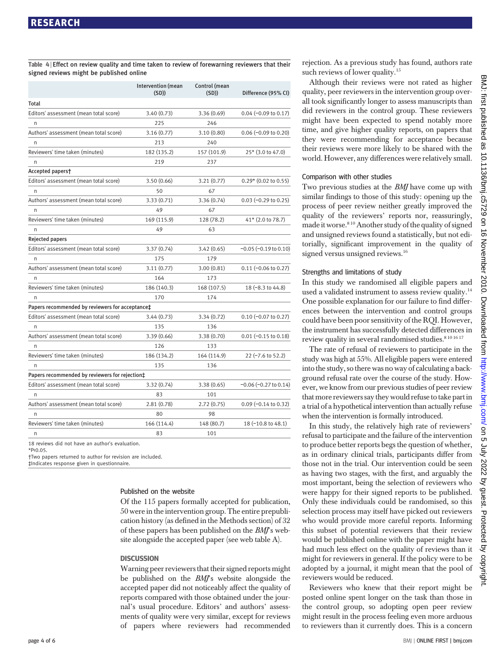Table 4 <sup>|</sup> Effect on review quality and time taken to review of forewarning reviewers that their signed reviews might be published online

|                                                             | Intervention (mean<br>(SD) | Control (mean<br>(SD) | Difference (95% CI)           |
|-------------------------------------------------------------|----------------------------|-----------------------|-------------------------------|
| Total                                                       |                            |                       |                               |
| Editors' assessment (mean total score)                      | 3.40 (0.73)                | 3.36(0.69)            | $0.04 (-0.09 to 0.17)$        |
| n                                                           | 225                        | 246                   |                               |
| Authors' assessment (mean total score)                      | 3.16 (0.77)                | 3.10(0.80)            | $0.06$ (-0.09 to 0.20)        |
| n                                                           | 213                        | 240                   |                               |
| Reviewers' time taken (minutes)                             | 182 (135.2)                | 157 (101.9)           | 25* (3.0 to 47.0)             |
| n                                                           | 219                        | 237                   |                               |
| Accepted papers†                                            |                            |                       |                               |
| Editors' assessment (mean total score)                      | 3.50 (0.66)                | 3.21(0.77)            | $0.29*$ (0.02 to 0.55)        |
| n                                                           | 50                         | 67                    |                               |
| Authors' assessment (mean total score)                      | 3.33 (0.71)                | 3.36(0.74)            | $0.03$ (-0.29 to 0.25)        |
| n                                                           | 49                         | 67                    |                               |
| Reviewers' time taken (minutes)                             | 169 (115.9)                | 128 (78.2)            | 41* (2.0 to 78.7)             |
| n                                                           | 49                         | 63                    |                               |
| <b>Rejected papers</b>                                      |                            |                       |                               |
| Editors' assessment (mean total score)                      | 3.37 (0.74)                | 3.42(0.65)            | $-0.05$ ( $-0.19$ to $0.10$ ) |
| n                                                           | 175                        | 179                   |                               |
| Authors' assessment (mean total score)                      | 3.11(0.77)                 | 3.00(0.81)            | 0.11 (-0.06 to 0.27)          |
| n                                                           | 164                        | 173                   |                               |
| Reviewers' time taken (minutes)                             | 186 (140.3)                | 168 (107.5)           | 18 (-8.3 to 44.8)             |
| n                                                           | 170                        | 174                   |                               |
| Papers recommended by reviewers for acceptance <sup>+</sup> |                            |                       |                               |
| Editors' assessment (mean total score)                      | 3.44 (0.73)                | 3.34 (0.72)           | $0.10$ (-0.07 to 0.27)        |
| n                                                           | 135                        | 136                   |                               |
| Authors' assessment (mean total score)                      | 3.39(0.66)                 | 3.38(0.70)            | $0.01$ (-0.15 to 0.18)        |
| n                                                           | 126                        | 133                   |                               |
| Reviewers' time taken (minutes)                             | 186 (134.2)                | 164 (114.9)           | 22 (-7.6 to 52.2)             |
| n                                                           | 135                        | 136                   |                               |
| Papers recommended by reviewers for rejection <sup>+</sup>  |                            |                       |                               |
| Editors' assessment (mean total score)                      | 3.32 (0.74)                | 3.38(0.65)            | $-0.06 (-0.27 to 0.14)$       |
| n                                                           | 83                         | 101                   |                               |
| Authors' assessment (mean total score)                      | 2.81(0.78)                 | 2.72(0.75)            | $0.09$ (-0.14 to 0.32)        |
| n                                                           | 80                         | 98                    |                               |
| Reviewers' time taken (minutes)                             | 166 (114.4)                | 148 (80.7)            | 18 (-10.8 to 48.1)            |
| n                                                           | 83                         | 101                   |                               |
| یم مادمطنیت مم میرمط نممر املام میبرد                       |                            |                       |                               |

18 reviews did not have an author's evaluation.

\*P<0.05.

†Two papers returned to author for revision are included.

‡Indicates response given in questionnaire.

#### Published on the website

Of the 115 papers formally accepted for publication, 50 were in the intervention group. The entire prepublication history (as defined in the Methods section) of 32 of these papers has been published on the BMJ's website alongside the accepted paper (see web table A).

#### **DISCUSSION**

Warning peer reviewers that their signed reports might be published on the BMJ's website alongside the accepted paper did not noticeably affect the quality of reports compared with those obtained under the journal's usual procedure. Editors' and authors' assessments of quality were very similar, except for reviews of papers where reviewers had recommended rejection. As a previous study has found, authors rate such reviews of lower quality.<sup>15</sup>

Although their reviews were not rated as higher quality, peer reviewers in the intervention group overall took significantly longer to assess manuscripts than did reviewers in the control group. These reviewers might have been expected to spend notably more time, and give higher quality reports, on papers that they were recommending for acceptance because their reviews were more likely to be shared with the world. However, any differences were relatively small.

#### Comparison with other studies

Two previous studies at the *BMJ* have come up with similar findings to those of this study: opening up the process of peer review neither greatly improved the quality of the reviewers' reports nor, reassuringly, made it worse.<sup>8 10</sup> Another study of the quality of signed and unsigned reviews found a statistically, but not editorially, significant improvement in the quality of signed versus unsigned reviews.<sup>16</sup>

#### Strengths and limitations of study

In this study we randomised all eligible papers and used a validated instrument to assess review quality.<sup>14</sup> One possible explanation for our failure to find differences between the intervention and control groups could have been poor sensitivity of the RQI. However, the instrument has successfully detected differences in review quality in several randomised studies.  $8\,10\,16\,17$ 

The rate of refusal of reviewers to participate in the study was high at 55%. All eligible papers were entered into the study, so there was no way of calculating a background refusal rate over the course of the study. However, we know from our previous studies of peer review that more reviewers say they would refuse to take part in a trial of a hypothetical intervention than actually refuse when the intervention is formally introduced.

In this study, the relatively high rate of reviewers' refusal to participate and the failure of the intervention to produce better reports begs the question of whether, as in ordinary clinical trials, participants differ from those not in the trial. Our intervention could be seen as having two stages, with the first, and arguably the most important, being the selection of reviewers who were happy for their signed reports to be published. Only these individuals could be randomised, so this selection process may itself have picked out reviewers who would provide more careful reports. Informing this subset of potential reviewers that their review would be published online with the paper might have had much less effect on the quality of reviews than it might for reviewers in general. If the policy were to be adopted by a journal, it might mean that the pool of reviewers would be reduced.

Reviewers who knew that their report might be posted online spent longer on the task than those in the control group, so adopting open peer review might result in the process feeling even more arduous to reviewers than it currently does. This is a concern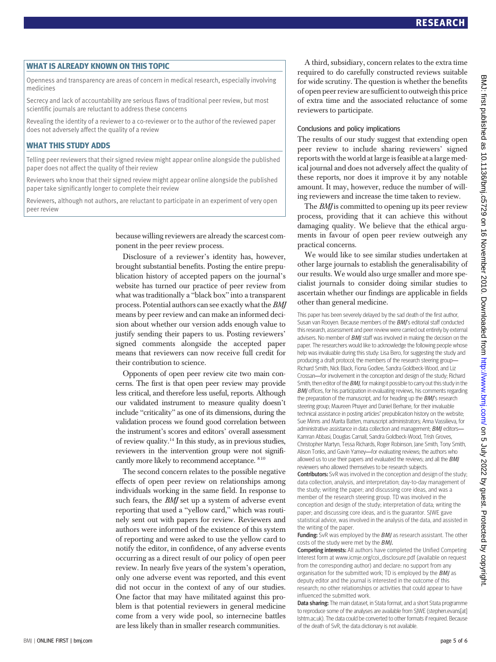# WHAT IS ALREADY KNOWN ON THIS TOPIC

Openness and transparency are areas of concern in medical research, especially involving medicines

Secrecy and lack of accountability are serious flaws of traditional peer review, but most scientific journals are reluctant to address these concerns

Revealing the identity of a reviewer to a co-reviewer or to the author of the reviewed paper does not adversely affect the quality of a review

# WHAT THIS STUDY ADDS

Telling peer reviewers that their signed review might appear online alongside the published paper does not affect the quality of their review

Reviewers who know that their signed review might appear online alongside the published paper take significantly longer to complete their review

Reviewers, although not authors, are reluctant to participate in an experiment of very open peer review

> because willing reviewers are already the scarcest component in the peer review process.

> Disclosure of a reviewer's identity has, however, brought substantial benefits. Posting the entire prepublication history of accepted papers on the journal's website has turned our practice of peer review from what was traditionally a "black box" into a transparent process. Potential authors can see exactly what the BMJ means by peer review and can make an informed decision about whether our version adds enough value to justify sending their papers to us. Posting reviewers' signed comments alongside the accepted paper means that reviewers can now receive full credit for their contribution to science.

> Opponents of open peer review cite two main concerns. The first is that open peer review may provide less critical, and therefore less useful, reports. Although our validated instrument to measure quality doesn't include "criticality" as one of its dimensions, during the validation process we found good correlation between the instrument's scores and editors' overall assessment of review quality.14 In this study, as in previous studies, reviewers in the intervention group were not significantly more likely to recommend acceptance. 8 10

> The second concern relates to the possible negative effects of open peer review on relationships among individuals working in the same field. In response to such fears, the *BMI* set up a system of adverse event reporting that used a "yellow card," which was routinely sent out with papers for review. Reviewers and authors were informed of the existence of this system of reporting and were asked to use the yellow card to notify the editor, in confidence, of any adverse events occurring as a direct result of our policy of open peer review. In nearly five years of the system's operation, only one adverse event was reported, and this event did not occur in the context of any of our studies. One factor that may have militated against this problem is that potential reviewers in general medicine come from a very wide pool, so internecine battles are less likely than in smaller research communities.

A third, subsidiary, concern relates to the extra time required to do carefully constructed reviews suitable for wide scrutiny. The question is whether the benefits of open peer review are sufficient to outweigh this price of extra time and the associated reluctance of some reviewers to participate.

#### Conclusions and policy implications

The results of our study suggest that extending open peer review to include sharing reviewers' signed reports with the world at large is feasible at a large medical journal and does not adversely affect the quality of these reports, nor does it improve it by any notable amount. It may, however, reduce the number of willing reviewers and increase the time taken to review.

The *BMJ* is committed to opening up its peer review process, providing that it can achieve this without damaging quality. We believe that the ethical arguments in favour of open peer review outweigh any practical concerns.

We would like to see similar studies undertaken at other large journals to establish the generalisability of our results. We would also urge smaller and more specialist journals to consider doing similar studies to ascertain whether our findings are applicable in fields other than general medicine.

This paper has been severely delayed by the sad death of the first author, Susan van Rooven. Because members of the **BMI's** editorial staff conducted this research, assessment and peer review were carried out entirely by external advisers. No member of **BMJ** staff was involved in making the decision on the paper. The researchers would like to acknowledge the following people whose help was invaluable during this study: Lisa Bero, for suggesting the study and producing a draft protocol; the members of the research steering group— Richard Smith, Nick Black, Fiona Godlee, Sandra Goldbeck-Wood, and Liz Crossan—for involvement in the conception and design of the study; Richard Smith, then editor of the BMJ, for making it possible to carry out this study in the **BMJ** offices, for his participation in evaluating reviews, his comments regarding the preparation of the manuscript, and for heading up the **BMJ's** research steering group; Maureen Phayer and Daniel Berhane, for their invaluable technical assistance in posting articles' prepublication history on the website; Sue Minns and Marita Batten, manuscript administrators; Anna Vassilieva, for administrative assistance in data collection and management; **BMJ** editors-Kamran Abbasi, Douglas Carnall, Sandra Goldbeck-Wood, Trish Groves, Christopher Martyn, Tessa Richards, Roger Robinson, Jane Smith, Tony Smith, Alison Tonks, and Gavin Yamey—for evaluating reviews; the authors who allowed us to use their papers and evaluated the reviews; and all the BMJ reviewers who allowed themselves to be research subjects.

Contributors: SvR was involved in the conception and design of the study; data collection, analysis, and interpretation; day-to-day management of the study; writing the paper; and discussing core ideas, and was a member of the research steering group. TD was involved in the conception and design of the study; interpretation of data; writing the paper; and discussing core ideas, and is the guarantor. SJWE gave statistical advice, was involved in the analysis of the data, and assisted in the writing of the paper.

Funding: SvR was employed by the BMJ as research assistant. The other costs of the study were met by the BMJ.

Competing interests: All authors have completed the Unified Competing Interest form at www.icmje.org/coi\_disclosure.pdf (available on request from the corresponding author) and declare: no support from any organisation for the submitted work; TD is employed by the BMJ as deputy editor and the journal is interested in the outcome of this research; no other relationships or activities that could appear to have influenced the submitted work.

Data sharing: The main dataset, in Stata format, and a short Stata programme to reproduce some of the analyses are available from SJWE (stephen.evans[at] lshtm.ac.uk). The data could be converted to other formats if required. Because of the death of SvR, the data dictionary is not available.